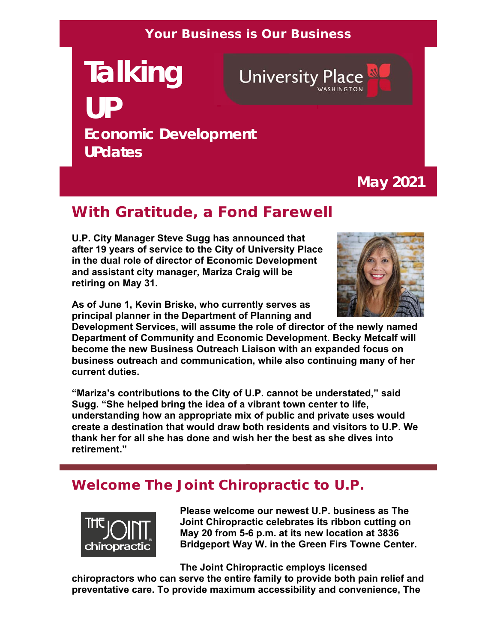#### **Your Business is Our Business**

# **Talking University Place UP Economic Development UPdates**

**May 2021**

## **With Gratitude, a Fond Farewell**

**U.P. City Manager Steve Sugg has announced that after 19 years of service to the City of University Place in the dual role of director of Economic Development and assistant city manager, Mariza Craig will be retiring on May 31.**

**As of June 1, Kevin Briske, who currently serves as principal planner in the Department of Planning and** 

**Development Services, will assume the role of director of the newly named Department of Community and Economic Development. Becky Metcalf will become the new Business Outreach Liaison with an expanded focus on business outreach and communication, while also continuing many of her current duties.**

**"Mariza's contributions to the City of U.P. cannot be understated," said Sugg. "She helped bring the idea of a vibrant town center to life, understanding how an appropriate mix of public and private uses would create a destination that would draw both residents and visitors to U.P. We thank her for all she has done and wish her the best as she dives into retirement."**

#### **Welcome The Joint Chiropractic to U.P.**



**Please welcome our newest U.P. business as The Joint Chiropractic celebrates its ribbon cutting on May 20 from 5-6 p.m. at its new location at 3836 Bridgeport Way W. in the Green Firs Towne Center.** 

**The Joint Chiropractic employs licensed** 

**chiropractors who can serve the entire family to provide both pain relief and preventative care. To provide maximum accessibility and convenience, The** 

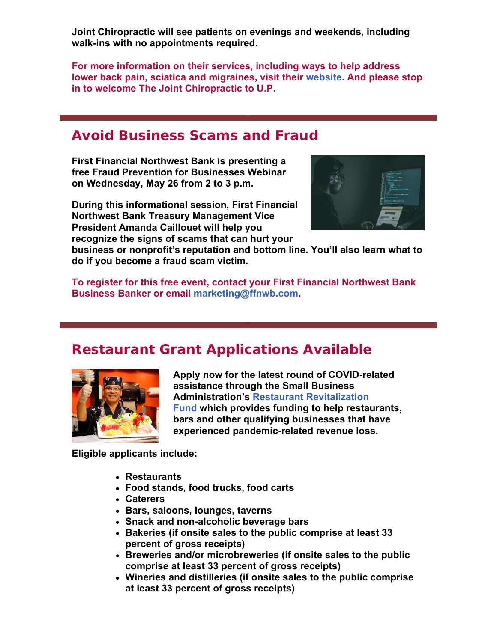**Joint Chiropractic will see patients on evenings and weekends, including walk-ins with no appointments required.** 

**For more information on their services, including ways to help address lower back pain, sciatica and migraines, visit their website. And please stop in to welcome The Joint Chiropractic to U.P.** 

#### **Avoid Business Scams and Fraud**

**First Financial Northwest Bank is presenting a free Fraud Prevention for Businesses Webinar on Wednesday, May 26 from 2 to 3 p.m.** 

**During this informational session, First Financial Northwest Bank Treasury Management Vice President Amanda Caillouet will help you recognize the signs of scams that can hurt your** 



**business or nonprofit's reputation and bottom line. You'll also learn what to do if you become a fraud scam victim.** 

**To register for this free event, contact your First Financial Northwest Bank Business Banker or email marketing@ffnwb.com.**

#### **Restaurant Grant Applications Available**



**Apply now for the latest round of COVID-related assistance through the Small Business Administration's Restaurant Revitalization Fund which provides funding to help restaurants, bars and other qualifying businesses that have experienced pandemic-related revenue loss.**

**Eligible applicants include:** 

- **Restaurants**
- **Food stands, food trucks, food carts**
- **Caterers**
- **Bars, saloons, lounges, taverns**
- **Snack and non-alcoholic beverage bars**
- **Bakeries (if onsite sales to the public comprise at least 33 percent of gross receipts)**
- **Breweries and/or microbreweries (if onsite sales to the public comprise at least 33 percent of gross receipts)**
- **Wineries and distilleries (if onsite sales to the public comprise at least 33 percent of gross receipts)**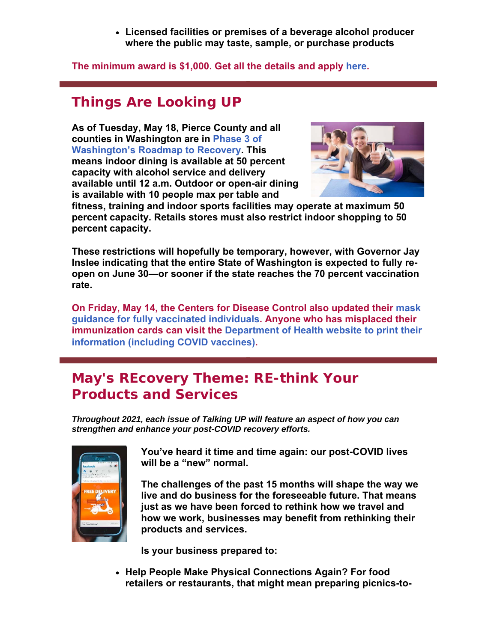**Licensed facilities or premises of a beverage alcohol producer where the public may taste, sample, or purchase products**

**The minimum award is \$1,000. Get all the details and apply here.**

# **Things Are Looking UP**

**As of Tuesday, May 18, Pierce County and all counties in Washington are in Phase 3 of Washington's Roadmap to Recovery. This means indoor dining is available at 50 percent capacity with alcohol service and delivery available until 12 a.m. Outdoor or open-air dining is available with 10 people max per table and** 



**fitness, training and indoor sports facilities may operate at maximum 50 percent capacity. Retails stores must also restrict indoor shopping to 50 percent capacity.**

**These restrictions will hopefully be temporary, however, with Governor Jay Inslee indicating that the entire State of Washington is expected to fully reopen on June 30—or sooner if the state reaches the 70 percent vaccination rate.** 

**On Friday, May 14, the Centers for Disease Control also updated their mask guidance for fully vaccinated individuals. Anyone who has misplaced their immunization cards can visit the Department of Health website to print their information (including COVID vaccines)**.

## **May's REcovery Theme: RE-think Your Products and Services**

*Throughout 2021, each issue of Talking UP will feature an aspect of how you can strengthen and enhance your post-COVID recovery efforts.* 



**You've heard it time and time again: our post-COVID lives will be a "new" normal.** 

**The challenges of the past 15 months will shape the way we live and do business for the foreseeable future. That means just as we have been forced to rethink how we travel and how we work, businesses may benefit from rethinking their products and services.**

**Is your business prepared to:**

 **Help People Make Physical Connections Again? For food retailers or restaurants, that might mean preparing picnics-to-**